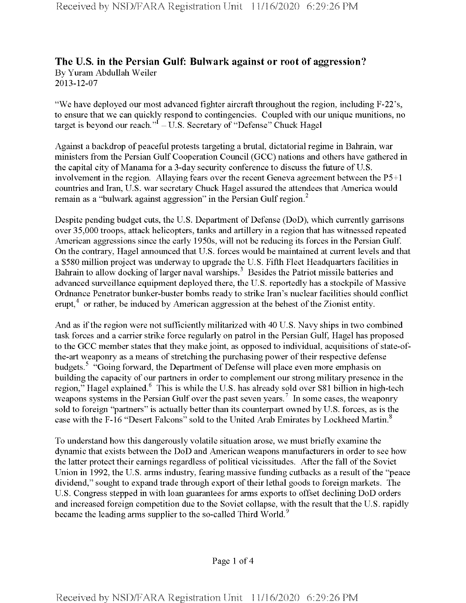## **The U.S. in the Persian Gulf: Bulwark against or root of aggression?** By Yuram Abdullah Weiler 2013-12-07

"We have deployed our most advanced fighter aircraft throughout the region, including F-22's, to ensure that we can quickly respond to contingencies. Coupled with our unique munitions, no target is beyond our reach." $\vec{I}$  – U.S. Secretary of "Defense" Chuck Hagel

Against a backdrop of peaceful protests targeting a brutal, dictatorial regime in Bahrain, war ministers from the Persian Gulf Cooperation Council (GCC) nations and others have gathered in the capital city of Manama for a 3-day security conference to discuss the future of U.S. involvement in the region. Allaying fears over the recent Geneva agreement between the P5+1 countries and Iran, U.S. war secretary Chuck Hagel assured the attendees that America would remain as a "bulwark against aggression" in the Persian Gulf region. $^2$ 

Despite pending budget cuts, the U.S. Department of Defense (DoD), which currently garrisons over 35,000 troops, attack helicopters, tanks and artillery in a region that has witnessed repeated American aggressions since the early 1950s, will not be reducing its forces in the Persian Gulf. On the contrary, Hagel announced that U.S. forces would be maintained at current levels and that a \$580 million project was underway to upgrade the U.S. Fifth Fleet Headquarters facilities in Bahrain to allow docking of larger naval warships.<sup>3</sup> Besides the Patriot missile batteries and advanced surveillance equipment deployed there, the U.S. reportedly has a stockpile of Massive Ordnance Penetrator bunker-buster bombs ready to strike Iran's nuclear facilities should conflict erupt, $4$  or rather, be induced by American aggression at the behest of the Zionist entity.

And as if the region were not sufficiently militarized with 40 U.S. Navy ships in two combined task forces and a carrier strike force regularly on patrol in the Persian Gulf, Hagel has proposed to the GCC member states that they make joint, as opposed to individual, acquisitions of state-ofthe-art weaponry as a means of stretching the purchasing power of their respective defense budgets.<sup>5</sup> "Going forward, the Department of Defense will place even more emphasis on building the capacity of our partners in order to complement our strong military presence in the region," Hagel explained.<sup>6</sup> This is while the U.S. has already sold over \$81 billion in high-tech weapons systems in the Persian Gulf over the past seven years.<sup>7</sup> In some cases, the weaponry sold to foreign "partners" is actually better than its counterpart owned by U.S. forces, as is the case with the F-16 "Desert Falcons" sold to the United Arab Emirates by Lockheed Martin.<sup>8</sup>

To understand how this dangerously volatile situation arose, we must briefly examine the dynamic that exists between the DoD and American weapons manufacturers in order to see how the latter protect their earnings regardless of political vicissitudes. After the fall of the Soviet Union in 1992, the U.S. arms industry, fearing massive funding cutbacks as a result of the "peace" dividend," sought to expand trade through export of their lethal goods to foreign markets. The U.S. Congress stepped in with loan guarantees for arms exports to offset declining DoD orders and increased foreign competition due to the Soviet collapse, with the result that the U.S. rapidly became the leading arms supplier to the so-called Third World.<sup>9</sup>

Page <sup>1</sup> of 4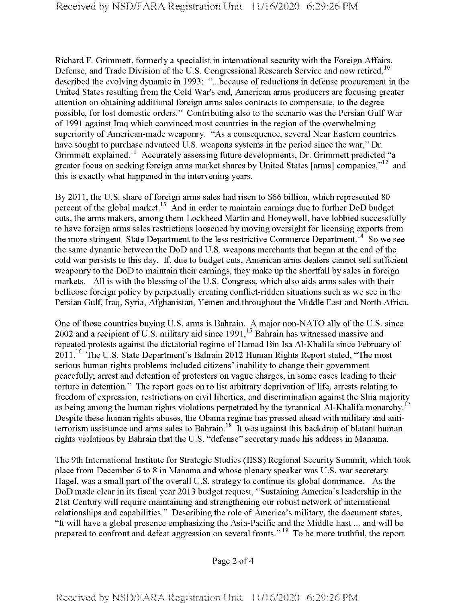Richard F. Grimmett, formerly a specialist in international security with the Foreign Affairs, Defense, and Trade Division of the U.S. Congressional Research Service and now retired.<sup>10</sup> described the evolving dynamic in 1993: "...because of reductions in defense procurement in the United States resulting from the Cold War's end, American arms producers are focusing greater attention on obtaining additional foreign arms sales contracts to compensate, to the degree possible, for lost domestic orders." Contributing also to the scenario was the Persian Gulf War of 1991 against Iraq which convinced most countries in the region ofthe overwhelming superiority of American-made weaponry. "As a consequence, several Near Eastern countries have sought to purchase advanced U.S. weapons systems in the period since the war," Dr. Grimmett explained.<sup>11</sup> Accurately assessing future developments, Dr. Grimmett predicted "a greater focus on seeking foreign arms market shares by United States [arms] companies, $"^{12}$  and this is exactly what happened in the intervening years.

By 2011, the U.S. share of foreign arms sales had risen to \$66 billion, which represented 80 percent of the global market.<sup>13</sup> And in order to maintain earnings due to further DoD budget cuts, the arms makers, among them Lockheed Martin and Honeywell, have lobbied successfully to have foreign arms sales restrictions loosened by moving oversight for licensing exports from the more stringent State Department to the less restrictive Commerce Department.<sup>14</sup> So we see the same dynamic between the DoD and U.S. weapons merchants that began at the end of the cold war persists to this day. If, due to budget cuts, American arms dealers cannot sell sufficient weaponry to the DoD to maintain their earnings, they make up the shortfall by sales in foreign markets. All is with the blessing of the U.S. Congress, which also aids arms sales with their bellicose foreign policy by perpetually creating conflict-ridden situations such as we see in the Persian Gulf, Iraq, Syria, Afghanistan, Yemen and throughout the Middle East and North Africa.

One of those countries buying U.S. arms is Bahrain. A major non-NATO ally of the U.S. since 2002 and a recipient of U.S. military aid since  $1991<sup>15</sup>$  Bahrain has witnessed massive and repeated protests against the dictatorial regime of Hamad Bin Isa Al-Khalifa since February of 2011.<sup>16</sup> The U.S. State Department's Bahrain 2012 Human Rights Report stated, "The most serious human rights problems included citizens' inability to change their government peacefully; arrest and detention of protesters on vague charges, in some cases leading to their torture in detention." The report goes on to list arbitrary deprivation of life, arrests relating to freedom of expression, restrictions on civil liberties, and discrimination against the Shia majority as being among the human rights violations perpetrated by the tyrannical Al-Khalifa monarchy.<sup>17</sup> Despite these human rights abuses, the Obama regime has pressed ahead with military and antiterrorism assistance and arms sales to Bahrain.<sup>18</sup> It was against this backdrop of blatant human rights violations by Bahrain that the U.S. "defense" secretary made his address in Manama.

The 9th International Institute for Strategic Studies (IISS) Regional Security Summit, which took place from December 6 to 8 in Manama and whose plenary speaker was U.S. war secretary Hagel, was a small part of the overall U.S. strategy to continue its global dominance. As the DoD made clear in its fiscal year 2013 budget request, "Sustaining America's leadership in the 21st Century will require maintaining and strengthening our robust network of international relationships and capabilities." Describing the role of America's military, the document states, "It will have a global presence emphasizing the Asia-Pacific and the Middle East... and will be prepared to confront and defeat aggression on several fronts."19 To be more truthful, the report

Page 2 of 4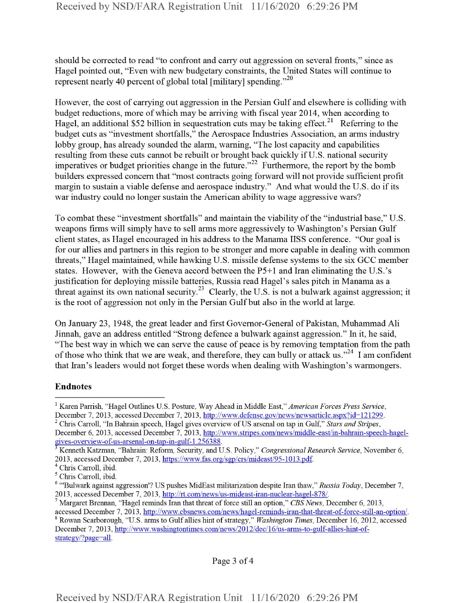should be corrected to read "to confront and carry out aggression on several fronts," since as Hagel pointed out, "Even with new budgetary constraints, the United States will continue to represent nearly 40 percent of global total [military] spending."<sup>20</sup>

However, the cost of carrying out aggression in the Persian Gulf and elsewhere is colliding with budget reductions, more of which may be arriving with fiscal year 2014, when according to Hagel, an additional \$52 billion in sequestration cuts may be taking effect.<sup>21</sup> Referring to the budget cuts as "investment shortfalls," the Aerospace Industries Association, an arms industry lobby group, has already sounded the alarm, warning, "The lost capacity and capabilities resulting from these cuts cannot be rebuilt or brought back quickly if U.S. national security imperatives or budget priorities change in the future."<sup>22</sup> Furthermore, the report by the bomb builders expressed concern that "most contracts going forward will not provide sufficient profit margin to sustain a viable defense and aerospace industry." And what would the U.S. do if its war industry could no longer sustain the American ability to wage aggressive wars?

To combat these "investment shortfalls" and maintain the viability of the "industrial base," U.S. weapons firms will simply have to sell arms more aggressively to Washington's Persian Gulf client states, as Hagel encouraged in his address to the Manama IISS conference. "Our goal is for our allies and partners in this region to be stronger and more capable in dealing with common threats," Hagel maintained, while hawking U.S. missile defense systems to the six GCC member states. However, with the Geneva accord between the P5+1 and Iran eliminating the U.S.'s justification for deploying missile batteries, Russia read Hagel's sales pitch in Manama as a threat against its own national security.<sup>23</sup> Clearly, the U.S. is not a bulwark against aggression; it is the root of aggression not only in the Persian Gulf but also in the world at large.

On January 23, 1948, the great leader and first Governor-General of Pakistan, Muhammad Ali Jinnah, gave an address entitled "Strong defence a bulwark against aggression." In it, he said, "The best way in which we can serve the cause of peace is by removing temptation from the path of those who think that we are weak, and therefore, they can bully or attack us."<sup>24</sup> I am confident that Iran's leaders would not forget these words when dealing with Washington's warmongers.

## Endnotes

December 6, 2013, accessed December 7, 2013, http://www.stripes.com/news/middle-east/in-bahrain-speech-hagelgives-overview-of-us-arsenal-on-tap-in-gulf-1.256388.

Page 3 of 4

<sup>1</sup> Karen Parrish, "Hagel Outlines U.S. Posture, Way Ahead in Middle East," *American Forces Press Service,* December 7, 2013, accessed December 7, 2013, http://www.defense.gov/news/newsarticle.aspx?id=121299.

<sup>&</sup>lt;sup>2</sup> Chris Carroll, "In Bahrain speech, Hagel gives overview of US arsenal on tap in Gulf," Stars and Stripes,

<sup>3</sup> Kenneth Katzman, "Bahrain: Reform, Security, and U.S. Policy," *Congressional Research Service,* November 6, 2013, accessed December 7, 2013, https://www.fas.org/sgp/crs/mideast/95-1013.pdf.

<sup>4</sup> Chris Carroll, ibid.

<sup>5</sup> Chris Carroll, ibid.

*<sup>6</sup>* "'Bulwark against aggression'? US pushes MidEast militarization despite Iran thaw," *Russia Today,* December 7, 2013, accessed December 7, 2013, http://rt.com/news/us-mideast-iran-nuclear-hagel-878/.

<sup>&</sup>lt;sup>7</sup> Margaret Brennan, "Hagel reminds Iran that threat of force still an option," *CBS News*, December 6, 2013, accessed December 7, 2013, http://www.cbsnews.com/news/hagel-reminds-iran-that-threat-of-force-still-an-option/.

<sup>s</sup> Rowan Scarborough, "U.S. arms to Gulfallies hint ofstrategy," *Washington Times,* December 16, 2012, accessed December 7, 2013, http://www.washingtontimes.com/news/2012/dec/16/us-arms-to-gulf-allies-hint-ofstrategy/?page=all.